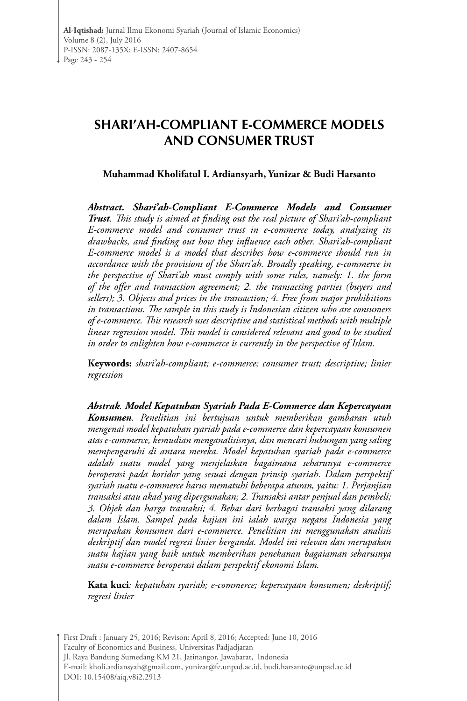# **SHARI'AH-COMPLIANT E-COMMERCE MODELS AND CONSUMER TRUST**

#### **Muhammad Kholifatul I. Ardiansyarh, Yunizar & Budi Harsanto**

*Abstract. Shari'ah-Compliant E-Commerce Models and Consumer Trust. This study is aimed at finding out the real picture of Shari'ah-compliant E-commerce model and consumer trust in e-commerce today, analyzing its drawbacks, and finding out how they influence each other. Shari'ah-compliant E-commerce model is a model that describes how e-commerce should run in accordance with the provisions of the Shari'ah. Broadly speaking, e-commerce in the perspective of Shari'ah must comply with some rules, namely: 1. the form of the offer and transaction agreement; 2. the transacting parties (buyers and sellers); 3. Objects and prices in the transaction; 4. Free from major prohibitions in transactions. The sample in this study is Indonesian citizen who are consumers of e-commerce. This research uses descriptive and statistical methods with multiple linear regression model. This model is considered relevant and good to be studied in order to enlighten how e-commerce is currently in the perspective of Islam.*

**Keywords:** *shari'ah-compliant; e-commerce; consumer trust; descriptive; linier regression*

*Abstrak. Model Kepatuhan Syariah Pada E-Commerce dan Kepercayaan Konsumen. Penelitian ini bertujuan untuk memberikan gambaran utuh mengenai model kepatuhan syariah pada e-commerce dan kepercayaan konsumen atas e-commerce, kemudian menganalisisnya, dan mencari hubungan yang saling mempengaruhi di antara mereka. Model kepatuhan syariah pada e-commerce adalah suatu model yang menjelaskan bagaimana seharunya e-commerce beroperasi pada koridor yang sesuai dengan prinsip syariah. Dalam perspektif syariah suatu e-commerce harus mematuhi beberapa aturan, yaitu: 1. Perjanjian transaksi atau akad yang dipergunakan; 2. Transaksi antar penjual dan pembeli; 3. Objek dan harga transaksi; 4. Bebas dari berbagai transaksi yang dilarang dalam Islam. Sampel pada kajian ini ialah warga negara Indonesia yang merupakan konsumen dari e-commerce. Penelitian ini menggunakan analisis deskriptif dan model regresi linier berganda. Model ini relevan dan merupakan suatu kajian yang baik untuk memberikan penekanan bagaiaman seharusnya suatu e-commerce beroperasi dalam perspektif ekonomi Islam.*

**Kata kuci***: kepatuhan syariah; e-commerce; kepercayaan konsumen; deskriptif; regresi linier* 

First Draft : January 25, 2016; Revison: April 8, 2016; Accepted: June 10, 2016 Faculty of Economics and Business, Universitas Padjadjaran Jl. Raya Bandung Sumedang KM 21, Jatinangor, Jawabarat, Indonesia E-mail: kholi.ardiansyah@gmail.com, yunizar@fe.unpad.ac.id, budi.harsanto@unpad.ac.id DOI: 10.15408/aiq.v8i2.2913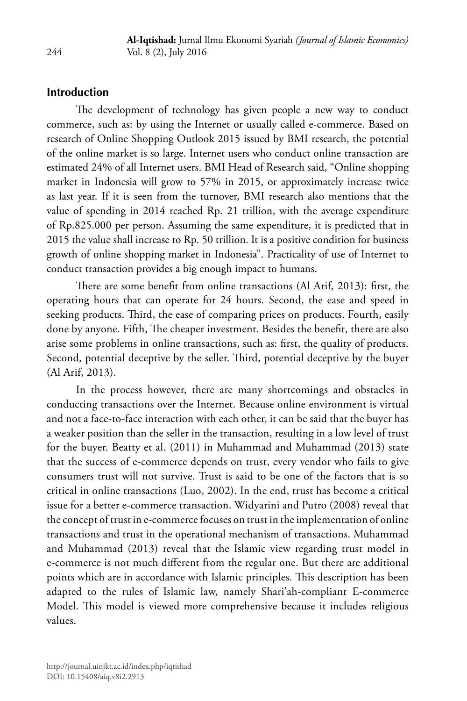## **Introduction**

The development of technology has given people a new way to conduct commerce, such as: by using the Internet or usually called e-commerce. Based on research of Online Shopping Outlook 2015 issued by BMI research, the potential of the online market is so large. Internet users who conduct online transaction are estimated 24% of all Internet users. BMI Head of Research said, "Online shopping market in Indonesia will grow to 57% in 2015, or approximately increase twice as last year. If it is seen from the turnover, BMI research also mentions that the value of spending in 2014 reached Rp. 21 trillion, with the average expenditure of Rp.825.000 per person. Assuming the same expenditure, it is predicted that in 2015 the value shall increase to Rp. 50 trillion. It is a positive condition for business growth of online shopping market in Indonesia". Practicality of use of Internet to conduct transaction provides a big enough impact to humans.

There are some benefit from online transactions (Al Arif, 2013): first, the operating hours that can operate for 24 hours. Second, the ease and speed in seeking products. Third, the ease of comparing prices on products. Fourth, easily done by anyone. Fifth, The cheaper investment. Besides the benefit, there are also arise some problems in online transactions, such as: first, the quality of products. Second, potential deceptive by the seller. Third, potential deceptive by the buyer (Al Arif, 2013).

In the process however, there are many shortcomings and obstacles in conducting transactions over the Internet. Because online environment is virtual and not a face-to-face interaction with each other, it can be said that the buyer has a weaker position than the seller in the transaction, resulting in a low level of trust for the buyer. Beatty et al. (2011) in Muhammad and Muhammad (2013) state that the success of e-commerce depends on trust, every vendor who fails to give consumers trust will not survive. Trust is said to be one of the factors that is so critical in online transactions (Luo, 2002). In the end, trust has become a critical issue for a better e-commerce transaction. Widyarini and Putro (2008) reveal that the concept of trust in e-commerce focuses on trust in the implementation of online transactions and trust in the operational mechanism of transactions. Muhammad and Muhammad (2013) reveal that the Islamic view regarding trust model in e-commerce is not much different from the regular one. But there are additional points which are in accordance with Islamic principles. This description has been adapted to the rules of Islamic law, namely Shari'ah-compliant E-commerce Model. This model is viewed more comprehensive because it includes religious values.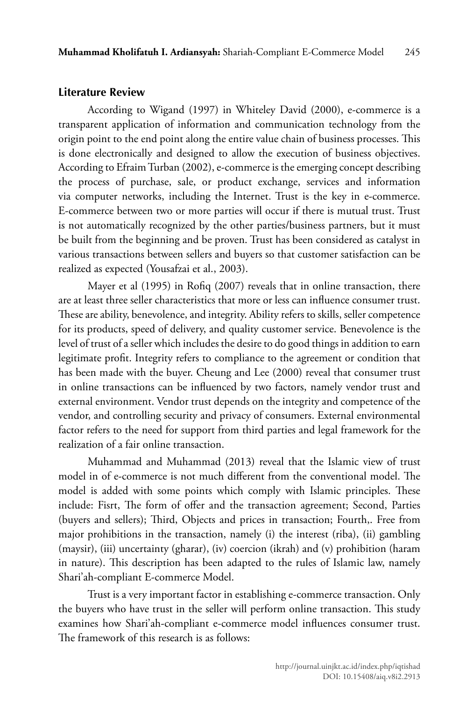## **Literature Review**

According to Wigand (1997) in Whiteley David (2000), e-commerce is a transparent application of information and communication technology from the origin point to the end point along the entire value chain of business processes. This is done electronically and designed to allow the execution of business objectives. According to Efraim Turban (2002), e-commerce is the emerging concept describing the process of purchase, sale, or product exchange, services and information via computer networks, including the Internet. Trust is the key in e-commerce. E-commerce between two or more parties will occur if there is mutual trust. Trust is not automatically recognized by the other parties/business partners, but it must be built from the beginning and be proven. Trust has been considered as catalyst in various transactions between sellers and buyers so that customer satisfaction can be realized as expected (Yousafzai et al., 2003).

Mayer et al (1995) in Rofiq (2007) reveals that in online transaction, there are at least three seller characteristics that more or less can influence consumer trust. These are ability, benevolence, and integrity. Ability refers to skills, seller competence for its products, speed of delivery, and quality customer service. Benevolence is the level of trust of a seller which includes the desire to do good things in addition to earn legitimate profit. Integrity refers to compliance to the agreement or condition that has been made with the buyer. Cheung and Lee (2000) reveal that consumer trust in online transactions can be influenced by two factors, namely vendor trust and external environment. Vendor trust depends on the integrity and competence of the vendor, and controlling security and privacy of consumers. External environmental factor refers to the need for support from third parties and legal framework for the realization of a fair online transaction.

Muhammad and Muhammad (2013) reveal that the Islamic view of trust model in of e-commerce is not much different from the conventional model. The model is added with some points which comply with Islamic principles. These include: Fisrt, The form of offer and the transaction agreement; Second, Parties (buyers and sellers); Third, Objects and prices in transaction; Fourth,. Free from major prohibitions in the transaction, namely (i) the interest (riba), (ii) gambling (maysir), (iii) uncertainty (gharar), (iv) coercion (ikrah) and (v) prohibition (haram in nature). This description has been adapted to the rules of Islamic law, namely Shari'ah-compliant E-commerce Model.

Trust is a very important factor in establishing e-commerce transaction. Only the buyers who have trust in the seller will perform online transaction. This study examines how Shari'ah-compliant e-commerce model influences consumer trust. The framework of this research is as follows: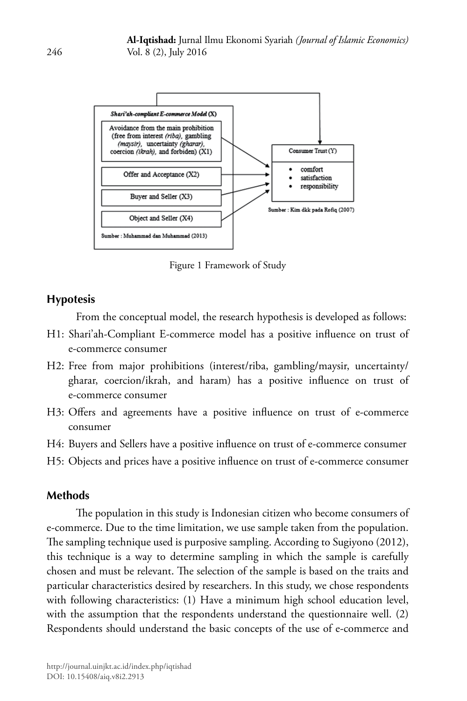

Figure 1 Framework of Study

## **Hypotesis**

From the conceptual model, the research hypothesis is developed as follows:

- H1: Shari'ah-Compliant E-commerce model has a positive influence on trust of e-commerce consumer
- H2: Free from major prohibitions (interest/riba, gambling/maysir, uncertainty/ gharar, coercion/ikrah, and haram) has a positive influence on trust of e-commerce consumer
- H3: Offers and agreements have a positive influence on trust of e-commerce consumer
- H4: Buyers and Sellers have a positive influence on trust of e-commerce consumer
- H5: Objects and prices have a positive influence on trust of e-commerce consumer

## **Methods**

The population in this study is Indonesian citizen who become consumers of e-commerce. Due to the time limitation, we use sample taken from the population. The sampling technique used is purposive sampling. According to Sugiyono (2012), this technique is a way to determine sampling in which the sample is carefully chosen and must be relevant. The selection of the sample is based on the traits and particular characteristics desired by researchers. In this study, we chose respondents with following characteristics: (1) Have a minimum high school education level, with the assumption that the respondents understand the questionnaire well. (2) Respondents should understand the basic concepts of the use of e-commerce and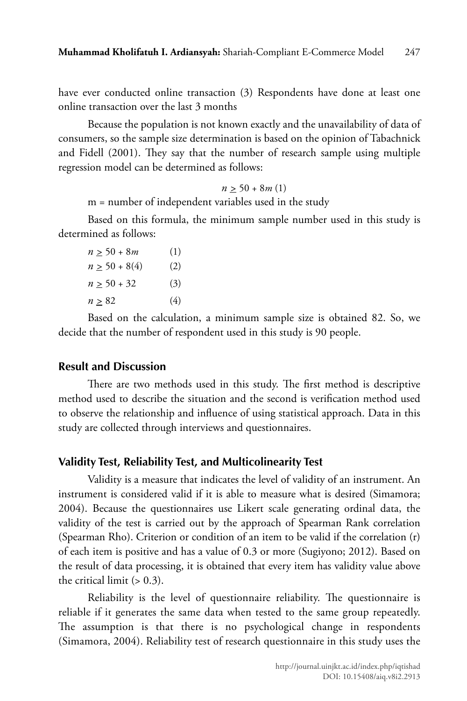have ever conducted online transaction (3) Respondents have done at least one online transaction over the last 3 months

Because the population is not known exactly and the unavailability of data of consumers, so the sample size determination is based on the opinion of Tabachnick and Fidell (2001). They say that the number of research sample using multiple regression model can be determined as follows:

 $n > 50 + 8m(1)$ 

m = number of independent variables used in the study

Based on this formula, the minimum sample number used in this study is determined as follows:

| $n > 50 + 8m$      | (1) |
|--------------------|-----|
| $n \geq 50 + 8(4)$ | (2) |
| $n \ge 50 + 32$    | (3) |
| n > 82             | (4) |

Based on the calculation, a minimum sample size is obtained 82. So, we decide that the number of respondent used in this study is 90 people.

#### **Result and Discussion**

There are two methods used in this study. The first method is descriptive method used to describe the situation and the second is verification method used to observe the relationship and influence of using statistical approach. Data in this study are collected through interviews and questionnaires.

#### **Validity Test, Reliability Test, and Multicolinearity Test**

Validity is a measure that indicates the level of validity of an instrument. An instrument is considered valid if it is able to measure what is desired (Simamora; 2004). Because the questionnaires use Likert scale generating ordinal data, the validity of the test is carried out by the approach of Spearman Rank correlation (Spearman Rho). Criterion or condition of an item to be valid if the correlation (r) of each item is positive and has a value of 0.3 or more (Sugiyono; 2012). Based on the result of data processing, it is obtained that every item has validity value above the critical limit  $(> 0.3)$ .

Reliability is the level of questionnaire reliability. The questionnaire is reliable if it generates the same data when tested to the same group repeatedly. The assumption is that there is no psychological change in respondents (Simamora, 2004). Reliability test of research questionnaire in this study uses the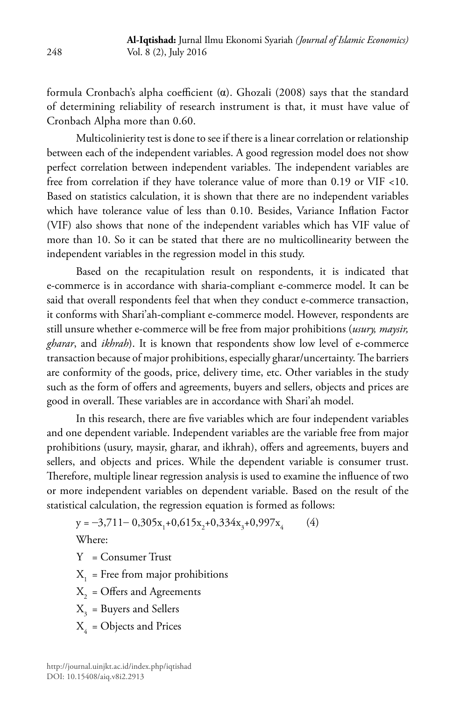formula Cronbach's alpha coefficient  $(\alpha)$ . Ghozali (2008) says that the standard of determining reliability of research instrument is that, it must have value of Cronbach Alpha more than 0.60.

Multicolinierity test is done to see if there is a linear correlation or relationship between each of the independent variables. A good regression model does not show perfect correlation between independent variables. The independent variables are free from correlation if they have tolerance value of more than 0.19 or VIF <10. Based on statistics calculation, it is shown that there are no independent variables which have tolerance value of less than 0.10. Besides, Variance Inflation Factor (VIF) also shows that none of the independent variables which has VIF value of more than 10. So it can be stated that there are no multicollinearity between the independent variables in the regression model in this study.

Based on the recapitulation result on respondents, it is indicated that e-commerce is in accordance with sharia-compliant e-commerce model. It can be said that overall respondents feel that when they conduct e-commerce transaction, it conforms with Shari'ah-compliant e-commerce model. However, respondents are still unsure whether e-commerce will be free from major prohibitions (*usury, maysir, gharar*, and *ikhrah*). It is known that respondents show low level of e-commerce transaction because of major prohibitions, especially gharar/uncertainty. The barriers are conformity of the goods, price, delivery time, etc. Other variables in the study such as the form of offers and agreements, buyers and sellers, objects and prices are good in overall. These variables are in accordance with Shari'ah model.

In this research, there are five variables which are four independent variables and one dependent variable. Independent variables are the variable free from major prohibitions (usury, maysir, gharar, and ikhrah), offers and agreements, buyers and sellers, and objects and prices. While the dependent variable is consumer trust. Therefore, multiple linear regression analysis is used to examine the influence of two or more independent variables on dependent variable. Based on the result of the statistical calculation, the regression equation is formed as follows:

$$
y = -3,711 - 0,305x_1 + 0,615x_2 + 0,334x_3 + 0,997x_4 \tag{4}
$$

Where:

Y = Consumer Trust

 $X_1$  = Free from major prohibitions

 $X<sub>2</sub> =$  Offers and Agreements

X<sub>2</sub> = Buyers and Sellers

 $X_4$  = Objects and Prices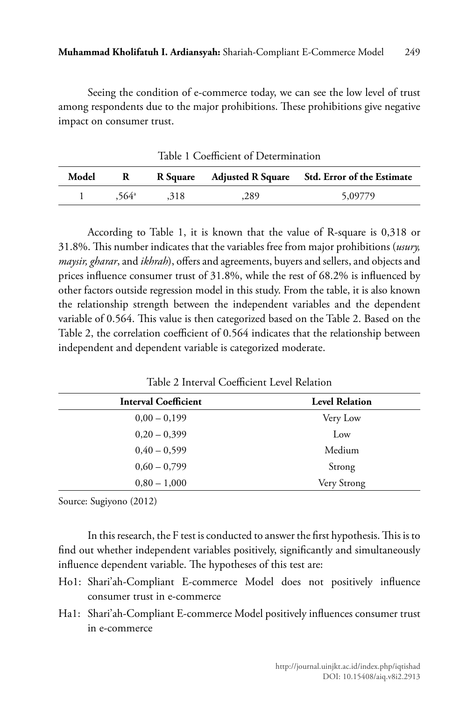Seeing the condition of e-commerce today, we can see the low level of trust among respondents due to the major prohibitions. These prohibitions give negative impact on consumer trust.

Table 1 Coefficient of Determination **Model R R Square Adjusted R Square Std. Error of the Estimate** 1 ,564<sup>a</sup> ,318 ,289 5,09779

According to Table 1, it is known that the value of R-square is 0,318 or 31.8%. This number indicates that the variables free from major prohibitions (*usury, maysir, gharar*, and *ikhrah*), offers and agreements, buyers and sellers, and objects and prices influence consumer trust of 31.8%, while the rest of 68.2% is influenced by other factors outside regression model in this study. From the table, it is also known the relationship strength between the independent variables and the dependent variable of 0.564. This value is then categorized based on the Table 2. Based on the Table 2, the correlation coefficient of 0.564 indicates that the relationship between independent and dependent variable is categorized moderate.

| <b>Interval Coefficient</b> | <b>Level Relation</b> |
|-----------------------------|-----------------------|
| $0,00-0,199$                | Very Low              |
| $0,20-0,399$                | Low                   |
| $0.40 - 0.599$              | Medium                |
| $0.60 - 0.799$              | Strong                |
| $0,80 - 1,000$              | Very Strong           |

Table 2 Interval Coefficient Level Relation

Source: Sugiyono (2012)

In this research, the F test is conducted to answer the first hypothesis. This is to find out whether independent variables positively, significantly and simultaneously influence dependent variable. The hypotheses of this test are:

- Ho1: Shari'ah-Compliant E-commerce Model does not positively influence consumer trust in e-commerce
- Ha1: Shari'ah-Compliant E-commerce Model positively influences consumer trust in e-commerce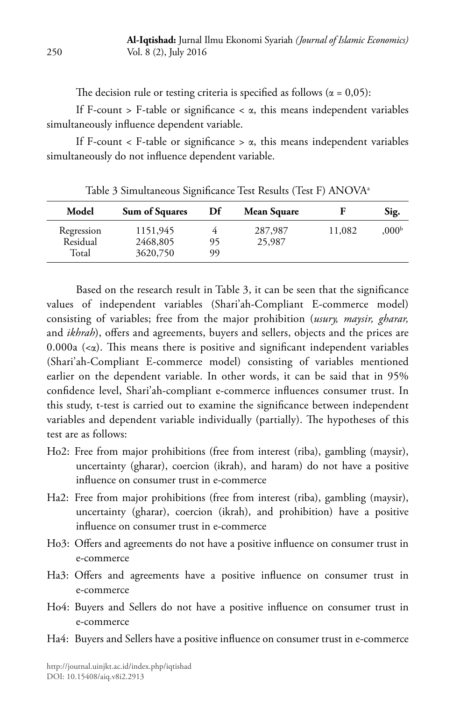The decision rule or testing criteria is specified as follows ( $\alpha = 0.05$ ):

If F-count > F-table or significance <  $\alpha$ , this means independent variables simultaneously influence dependent variable.

If F-count  $\langle$  F-table or significance  $> \alpha$ , this means independent variables simultaneously do not influence dependent variable.

| Model                           | Sum of Squares                   | Df       | Mean Square       |        | Sig.              |
|---------------------------------|----------------------------------|----------|-------------------|--------|-------------------|
| Regression<br>Residual<br>Total | 1151,945<br>2468,805<br>3620,750 | 95<br>99 | 287,987<br>25,987 | 11,082 | .000 <sup>b</sup> |

Table 3 Simultaneous Significance Test Results (Test F) ANOVAa

Based on the research result in Table 3, it can be seen that the significance values of independent variables (Shari'ah-Compliant E-commerce model) consisting of variables; free from the major prohibition (*usury, maysir, gharar,*  and *ikhrah*), offers and agreements, buyers and sellers, objects and the prices are 0.000a  $(\lll)$ . This means there is positive and significant independent variables (Shari'ah-Compliant E-commerce model) consisting of variables mentioned earlier on the dependent variable. In other words, it can be said that in 95% confidence level, Shari'ah-compliant e-commerce influences consumer trust. In this study, t-test is carried out to examine the significance between independent variables and dependent variable individually (partially). The hypotheses of this test are as follows:

- Ho2: Free from major prohibitions (free from interest (riba), gambling (maysir), uncertainty (gharar), coercion (ikrah), and haram) do not have a positive influence on consumer trust in e-commerce
- Ha2: Free from major prohibitions (free from interest (riba), gambling (maysir), uncertainty (gharar), coercion (ikrah), and prohibition) have a positive influence on consumer trust in e-commerce
- Ho3: Offers and agreements do not have a positive influence on consumer trust in e-commerce
- Ha3: Offers and agreements have a positive influence on consumer trust in e-commerce
- Ho4: Buyers and Sellers do not have a positive influence on consumer trust in e-commerce
- Ha4: Buyers and Sellers have a positive influence on consumer trust in e-commerce

250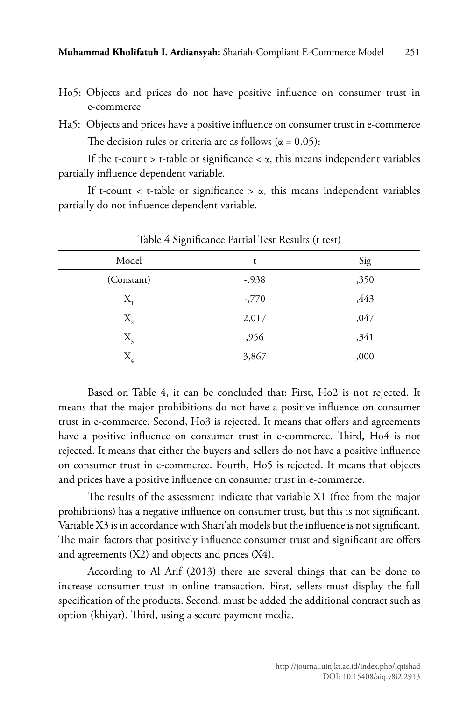- Ho5: Objects and prices do not have positive influence on consumer trust in e-commerce
- Ha5: Objects and prices have a positive influence on consumer trust in e-commerce The decision rules or criteria are as follows ( $\alpha = 0.05$ ):

If the t-count  $>$  t-table or significance  $< \alpha$ , this means independent variables partially influence dependent variable.

If t-count  $\lt$  t-table or significance  $> \alpha$ , this means independent variables partially do not influence dependent variable.

| $\sim$     |         |      |
|------------|---------|------|
| Model      | t       | Sig  |
| (Constant) | $-.938$ | ,350 |
| $X_{1}$    | $-770$  | ,443 |
| $X_{2}$    | 2,017   | ,047 |
| $X_{3}$    | ,956    | ,341 |
| $X_{4}$    | 3,867   | ,000 |

Table 4 Significance Partial Test Results (t test)

Based on Table 4, it can be concluded that: First, Ho2 is not rejected. It means that the major prohibitions do not have a positive influence on consumer trust in e-commerce. Second, Ho3 is rejected. It means that offers and agreements have a positive influence on consumer trust in e-commerce. Third, Ho4 is not rejected. It means that either the buyers and sellers do not have a positive influence on consumer trust in e-commerce. Fourth, Ho5 is rejected. It means that objects and prices have a positive influence on consumer trust in e-commerce.

The results of the assessment indicate that variable X1 (free from the major prohibitions) has a negative influence on consumer trust, but this is not significant. Variable X3 is in accordance with Shari'ah models but the influence is not significant. The main factors that positively influence consumer trust and significant are offers and agreements (X2) and objects and prices (X4).

According to Al Arif (2013) there are several things that can be done to increase consumer trust in online transaction. First, sellers must display the full specification of the products. Second, must be added the additional contract such as option (khiyar). Third, using a secure payment media.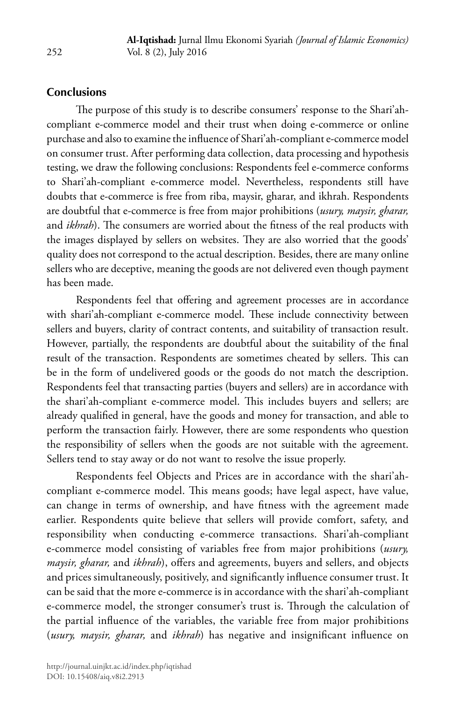### **Conclusions**

The purpose of this study is to describe consumers' response to the Shari'ahcompliant e-commerce model and their trust when doing e-commerce or online purchase and also to examine the influence of Shari'ah-compliant e-commerce model on consumer trust. After performing data collection, data processing and hypothesis testing, we draw the following conclusions: Respondents feel e-commerce conforms to Shari'ah-compliant e-commerce model. Nevertheless, respondents still have doubts that e-commerce is free from riba, maysir, gharar, and ikhrah. Respondents are doubtful that e-commerce is free from major prohibitions (*usury, maysir, gharar,*  and *ikhrah*). The consumers are worried about the fitness of the real products with the images displayed by sellers on websites. They are also worried that the goods' quality does not correspond to the actual description. Besides, there are many online sellers who are deceptive, meaning the goods are not delivered even though payment has been made.

Respondents feel that offering and agreement processes are in accordance with shari'ah-compliant e-commerce model. These include connectivity between sellers and buyers, clarity of contract contents, and suitability of transaction result. However, partially, the respondents are doubtful about the suitability of the final result of the transaction. Respondents are sometimes cheated by sellers. This can be in the form of undelivered goods or the goods do not match the description. Respondents feel that transacting parties (buyers and sellers) are in accordance with the shari'ah-compliant e-commerce model. This includes buyers and sellers; are already qualified in general, have the goods and money for transaction, and able to perform the transaction fairly. However, there are some respondents who question the responsibility of sellers when the goods are not suitable with the agreement. Sellers tend to stay away or do not want to resolve the issue properly.

Respondents feel Objects and Prices are in accordance with the shari'ahcompliant e-commerce model. This means goods; have legal aspect, have value, can change in terms of ownership, and have fitness with the agreement made earlier. Respondents quite believe that sellers will provide comfort, safety, and responsibility when conducting e-commerce transactions. Shari'ah-compliant e-commerce model consisting of variables free from major prohibitions (*usury, maysir, gharar,* and *ikhrah*), offers and agreements, buyers and sellers, and objects and prices simultaneously, positively, and significantly influence consumer trust. It can be said that the more e-commerce is in accordance with the shari'ah-compliant e-commerce model, the stronger consumer's trust is. Through the calculation of the partial influence of the variables, the variable free from major prohibitions (*usury, maysir, gharar,* and *ikhrah*) has negative and insignificant influence on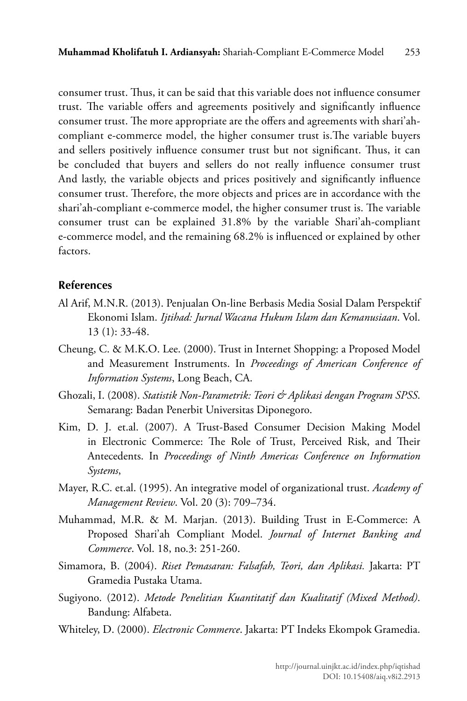consumer trust. Thus, it can be said that this variable does not influence consumer trust. The variable offers and agreements positively and significantly influence consumer trust. The more appropriate are the offers and agreements with shari'ahcompliant e-commerce model, the higher consumer trust is.The variable buyers and sellers positively influence consumer trust but not significant. Thus, it can be concluded that buyers and sellers do not really influence consumer trust And lastly, the variable objects and prices positively and significantly influence consumer trust. Therefore, the more objects and prices are in accordance with the shari'ah-compliant e-commerce model, the higher consumer trust is. The variable consumer trust can be explained 31.8% by the variable Shari'ah-compliant e-commerce model, and the remaining 68.2% is influenced or explained by other factors.

#### **References**

- Al Arif, M.N.R. (2013). Penjualan On-line Berbasis Media Sosial Dalam Perspektif Ekonomi Islam. *Ijtihad: Jurnal Wacana Hukum Islam dan Kemanusiaan*. Vol. 13 (1): 33-48.
- Cheung, C. & M.K.O. Lee. (2000). Trust in Internet Shopping: a Proposed Model and Measurement Instruments. In *Proceedings of American Conference of Information Systems*, Long Beach, CA.
- Ghozali, I. (2008). *Statistik Non-Parametrik: Teori & Aplikasi dengan Program SPSS*. Semarang: Badan Penerbit Universitas Diponegoro.
- Kim, D. J. et.al. (2007). A Trust-Based Consumer Decision Making Model in Electronic Commerce: The Role of Trust, Perceived Risk, and Their Antecedents. In *Proceedings of Ninth Americas Conference on Information Systems*,
- Mayer, R.C. et.al. (1995). An integrative model of organizational trust. *Academy of Management Review*. Vol. 20 (3): 709–734.
- Muhammad, M.R. & M. Marjan. (2013). Building Trust in E-Commerce: A Proposed Shari'ah Compliant Model. *Journal of Internet Banking and Commerce*. Vol. 18, no.3: 251-260.
- Simamora, B. (2004). *Riset Pemasaran: Falsafah, Teori, dan Aplikasi.* Jakarta: PT Gramedia Pustaka Utama.
- Sugiyono. (2012). *Metode Penelitian Kuantitatif dan Kualitatif (Mixed Method)*. Bandung: Alfabeta.
- Whiteley, D. (2000). *Electronic Commerce*. Jakarta: PT Indeks Ekompok Gramedia.